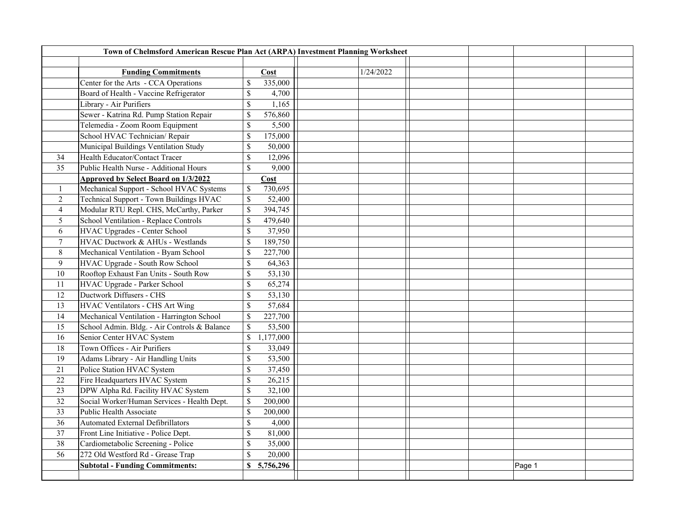| Town of Chelmsford American Rescue Plan Act (ARPA) Investment Planning Worksheet |                                              |                           |             |  |           |  |  |        |  |
|----------------------------------------------------------------------------------|----------------------------------------------|---------------------------|-------------|--|-----------|--|--|--------|--|
|                                                                                  |                                              |                           |             |  |           |  |  |        |  |
|                                                                                  | <b>Funding Commitments</b>                   |                           | Cost        |  | 1/24/2022 |  |  |        |  |
|                                                                                  | Center for the Arts - CCA Operations         | \$                        | 335,000     |  |           |  |  |        |  |
|                                                                                  | Board of Health - Vaccine Refrigerator       | $\mathbb{S}$              | 4,700       |  |           |  |  |        |  |
|                                                                                  | Library - Air Purifiers                      | $\$$                      | 1,165       |  |           |  |  |        |  |
|                                                                                  | Sewer - Katrina Rd. Pump Station Repair      | $\$$                      | 576,860     |  |           |  |  |        |  |
|                                                                                  | Telemedia - Zoom Room Equipment              | $\boldsymbol{\mathsf{S}}$ | 5,500       |  |           |  |  |        |  |
|                                                                                  | School HVAC Technician/Repair                | $\mathbb{S}$              | 175,000     |  |           |  |  |        |  |
|                                                                                  | Municipal Buildings Ventilation Study        | $\mathbb{S}$              | 50,000      |  |           |  |  |        |  |
| 34                                                                               | Health Educator/Contact Tracer               | \$                        | 12,096      |  |           |  |  |        |  |
| 35                                                                               | Public Health Nurse - Additional Hours       | $\mathbb{S}$              | 9,000       |  |           |  |  |        |  |
|                                                                                  | <b>Approved by Select Board on 1/3/2022</b>  |                           | <b>Cost</b> |  |           |  |  |        |  |
| $\mathbf{1}$                                                                     | Mechanical Support - School HVAC Systems     | $\mathbb{S}$              | 730,695     |  |           |  |  |        |  |
| $\overline{2}$                                                                   | Technical Support - Town Buildings HVAC      | $\mathbb{S}$              | 52,400      |  |           |  |  |        |  |
| $\overline{4}$                                                                   | Modular RTU Repl. CHS, McCarthy, Parker      | $\mathbb{S}$              | 394,745     |  |           |  |  |        |  |
| 5                                                                                | School Ventilation - Replace Controls        | $\mathbb{S}$              | 479,640     |  |           |  |  |        |  |
| 6                                                                                | HVAC Upgrades - Center School                | $\$$                      | 37,950      |  |           |  |  |        |  |
| $\boldsymbol{7}$                                                                 | HVAC Ductwork & AHUs - Westlands             | $\mathbb{S}$              | 189,750     |  |           |  |  |        |  |
| 8                                                                                | Mechanical Ventilation - Byam School         | $\mathcal{S}$             | 227,700     |  |           |  |  |        |  |
| 9                                                                                | HVAC Upgrade - South Row School              | $\mathbb{S}$              | 64,363      |  |           |  |  |        |  |
| 10                                                                               | Rooftop Exhaust Fan Units - South Row        | $\mathbb{S}$              | 53,130      |  |           |  |  |        |  |
| 11                                                                               | HVAC Upgrade - Parker School                 | $\mathbb{S}$              | 65,274      |  |           |  |  |        |  |
| 12                                                                               | <b>Ductwork Diffusers - CHS</b>              | $\$$                      | 53,130      |  |           |  |  |        |  |
| 13                                                                               | HVAC Ventilators - CHS Art Wing              | $\boldsymbol{\mathsf{S}}$ | 57,684      |  |           |  |  |        |  |
| 14                                                                               | Mechanical Ventilation - Harrington School   | $\mathbb{S}$              | 227,700     |  |           |  |  |        |  |
| 15                                                                               | School Admin. Bldg. - Air Controls & Balance | $\mathbb{S}$              | 53,500      |  |           |  |  |        |  |
| 16                                                                               | Senior Center HVAC System                    | $\mathbb S$               | 1,177,000   |  |           |  |  |        |  |
| 18                                                                               | Town Offices - Air Purifiers                 | $\$$                      | 33,049      |  |           |  |  |        |  |
| 19                                                                               | Adams Library - Air Handling Units           | $\mathcal{S}$             | 53,500      |  |           |  |  |        |  |
| 21                                                                               | Police Station HVAC System                   | \$                        | 37,450      |  |           |  |  |        |  |
| 22                                                                               | Fire Headquarters HVAC System                | $\mathbb{S}$              | 26,215      |  |           |  |  |        |  |
| 23                                                                               | DPW Alpha Rd. Facility HVAC System           | $\mathbb{S}$              | 32,100      |  |           |  |  |        |  |
| 32                                                                               | Social Worker/Human Services - Health Dept.  | \$                        | 200,000     |  |           |  |  |        |  |
| 33                                                                               | Public Health Associate                      | $\$$                      | 200,000     |  |           |  |  |        |  |
| 36                                                                               | <b>Automated External Defibrillators</b>     | $\$$                      | 4,000       |  |           |  |  |        |  |
| 37                                                                               | Front Line Initiative - Police Dept.         | $\mathbb{S}$              | 81,000      |  |           |  |  |        |  |
| 38                                                                               | Cardiometabolic Screening - Police           | $\mathbb{S}$              | 35,000      |  |           |  |  |        |  |
| 56                                                                               | 272 Old Westford Rd - Grease Trap            | $\mathbb{S}$              | 20,000      |  |           |  |  |        |  |
|                                                                                  | <b>Subtotal - Funding Commitments:</b>       |                           | \$5,756,296 |  |           |  |  | Page 1 |  |
|                                                                                  |                                              |                           |             |  |           |  |  |        |  |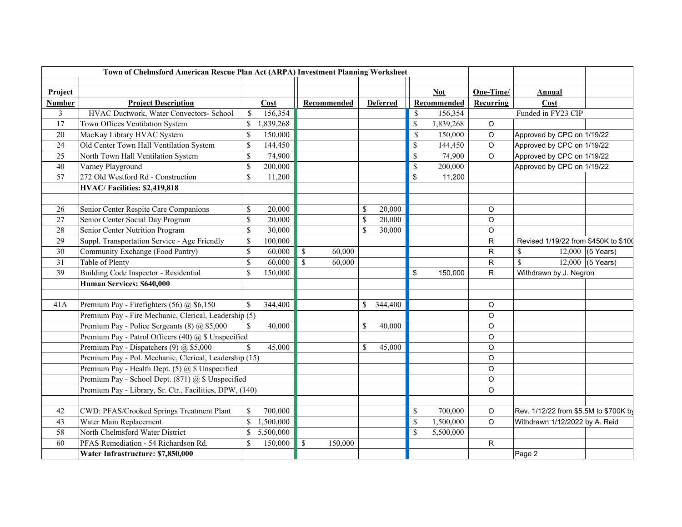|                | Town of Chelmsford American Rescue Plan Act (ARPA) Investment Planning Worksheet |                                                        |           |              |             |                           |                 |               |             |             |                                |                                       |
|----------------|----------------------------------------------------------------------------------|--------------------------------------------------------|-----------|--------------|-------------|---------------------------|-----------------|---------------|-------------|-------------|--------------------------------|---------------------------------------|
|                |                                                                                  |                                                        |           |              |             |                           |                 |               |             |             |                                |                                       |
| Project        |                                                                                  |                                                        |           |              |             |                           |                 |               | <b>Not</b>  | One-Time/   | <b>Annual</b>                  |                                       |
| <b>Number</b>  | <b>Project Description</b>                                                       |                                                        | Cost      |              | Recommended |                           | <b>Deferred</b> |               | Recommended | Recurring   | Cost                           |                                       |
| $\mathfrak{Z}$ | HVAC Ductwork, Water Convectors- School                                          | $\$$                                                   | 156,354   |              |             |                           |                 | \$            | 156,354     |             | Funded in FY23 CIP             |                                       |
| 17             | Town Offices Ventilation System                                                  | $\mathbb{S}$                                           | 1,839,268 |              |             |                           |                 | \$            | 1,839,268   | $\circ$     |                                |                                       |
| 20             | MacKay Library HVAC System                                                       | \$                                                     | 150,000   |              |             |                           |                 | $\mathcal{S}$ | 150,000     | $\circ$     | Approved by CPC on 1/19/22     |                                       |
| 24             | Old Center Town Hall Ventilation System                                          | \$                                                     | 144,450   |              |             |                           |                 | \$            | 144,450     | O           | Approved by CPC on 1/19/22     |                                       |
| 25             | North Town Hall Ventilation System                                               | \$                                                     | 74,900    |              |             |                           |                 | $\mathbb{S}$  | 74,900      | $\circ$     | Approved by CPC on 1/19/22     |                                       |
| 40             | Varney Playground                                                                | \$                                                     | 200,000   |              |             |                           |                 | \$            | 200,000     |             | Approved by CPC on 1/19/22     |                                       |
| 57             | 272 Old Westford Rd - Construction                                               | \$                                                     | 11,200    |              |             |                           |                 | \$            | 11,200      |             |                                |                                       |
|                | HVAC/Facilities: \$2,419,818                                                     |                                                        |           |              |             |                           |                 |               |             |             |                                |                                       |
|                |                                                                                  |                                                        |           |              |             |                           |                 |               |             |             |                                |                                       |
| 26             | Senior Center Respite Care Companions                                            | \$                                                     | 20,000    |              |             | $\boldsymbol{\mathsf{S}}$ | 20,000          |               |             | $\circ$     |                                |                                       |
| 27             | Senior Center Social Day Program                                                 | \$                                                     | 20,000    |              |             | $\mathcal{S}$             | 20,000          |               |             | $\circ$     |                                |                                       |
| 28             | Senior Center Nutrition Program                                                  | \$                                                     | 30,000    |              |             | $\mathcal{S}$             | 30,000          |               |             | $\circ$     |                                |                                       |
| 29             | Suppl. Transportation Service - Age Friendly                                     | \$                                                     | 100,000   |              |             |                           |                 |               |             | R           |                                | Revised 1/19/22 from \$450K to \$100  |
| 30             | Community Exchange (Food Pantry)                                                 | \$                                                     | 60,000    | $\$$         | 60,000      |                           |                 |               |             | R           | \$                             | 12,000 (5 Years)                      |
| 31             | Table of Plenty                                                                  | \$                                                     | 60,000    | $\mathbb{S}$ | 60,000      |                           |                 |               |             | R           | $\mathcal{S}$                  | 12,000 (5 Years)                      |
| 39             | Building Code Inspector - Residential                                            | $\mathbb{S}$                                           | 150,000   |              |             |                           |                 | \$            | 150,000     | R           | Withdrawn by J. Negron         |                                       |
|                | Human Services: \$640,000                                                        |                                                        |           |              |             |                           |                 |               |             |             |                                |                                       |
|                |                                                                                  |                                                        |           |              |             |                           |                 |               |             |             |                                |                                       |
| 41A            | Premium Pay - Firefighters (56) @ \$6,150                                        | $\mathcal{S}$                                          | 344,400   |              |             | $\mathbb{S}$              | 344,400         |               |             | O           |                                |                                       |
|                | Premium Pay - Fire Mechanic, Clerical, Leadership (5)                            |                                                        |           |              |             |                           |                 |               |             | O           |                                |                                       |
|                | Premium Pay - Police Sergeants (8) @ \$5,000                                     |                                                        | 40,000    |              |             | $\mathbb{S}$              | 40,000          |               |             | O           |                                |                                       |
|                | Premium Pay - Patrol Officers (40) @ \$ Unspecified                              |                                                        |           |              |             |                           |                 |               |             | O           |                                |                                       |
|                | Premium Pay - Dispatchers (9) @ \$5,000                                          | $\mathbf S$                                            | 45,000    |              |             | $\mathbb{S}$              | 45,000          |               |             | $\circ$     |                                |                                       |
|                |                                                                                  | Premium Pay - Pol. Mechanic, Clerical, Leadership (15) |           |              |             |                           |                 |               |             | O           |                                |                                       |
|                | Premium Pay - Health Dept. (5) $(a)$ \$ Unspecified                              |                                                        |           |              |             |                           |                 |               |             | $\circ$     |                                |                                       |
|                | Premium Pay - School Dept. (871) @ \$ Unspecified                                |                                                        |           |              |             |                           |                 |               |             | $\mathsf O$ |                                |                                       |
|                | Premium Pay - Library, Sr. Ctr., Facilities, DPW, (140)                          |                                                        |           |              |             |                           |                 |               |             | O           |                                |                                       |
|                |                                                                                  |                                                        |           |              |             |                           |                 |               |             |             |                                |                                       |
| 42             | CWD: PFAS/Crooked Springs Treatment Plant                                        | $\mathbb{S}$                                           | 700,000   |              |             |                           |                 | \$            | 700,000     | $\circ$     |                                | Rev. 1/12/22 from \$5.5M to \$700K by |
| 43             | Water Main Replacement                                                           | $\mathbb{S}$                                           | 1,500,000 |              |             |                           |                 | $\mathbb{S}$  | 1,500,000   | O           | Withdrawn 1/12/2022 by A. Reid |                                       |
| 58             | North Chelmsford Water District                                                  | $\mathbb{S}$                                           | 5,500,000 |              |             |                           |                 | <sup>\$</sup> | 5,500,000   |             |                                |                                       |
| 60             | PFAS Remediation - 54 Richardson Rd.                                             | \$                                                     | 150,000   | $\mathbb{S}$ | 150,000     |                           |                 |               |             | R           |                                |                                       |
|                | Water Infrastructure: \$7,850,000                                                |                                                        |           |              |             |                           |                 |               |             |             | Page 2                         |                                       |